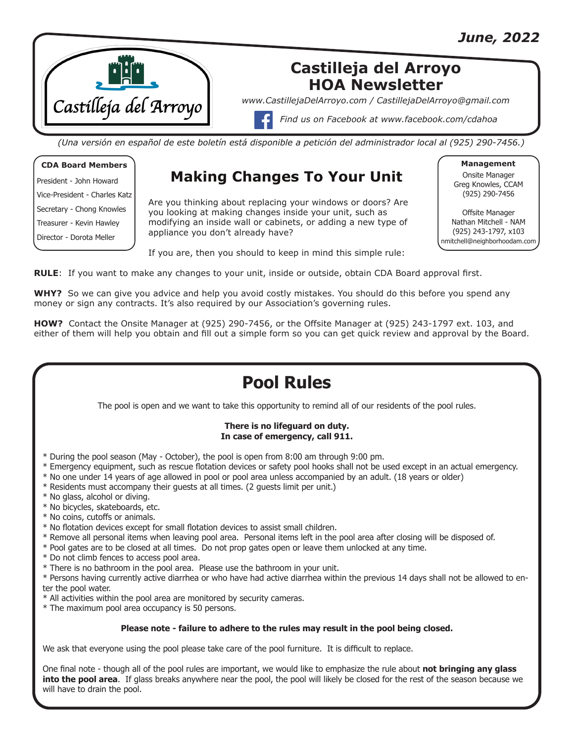

## **Castilleja del Arroyo HOA Newsletter**

*www.CastillejaDelArroyo.com / CastillejaDelArroyo@gmail.com*

*Find us on Facebook at www.facebook.com/cdahoa*

*(Una versión en español de este boletín está disponible a petición del administrador local al (925) 290-7456.)*

#### **CDA Board Members**

President - John Howard Vice-President - Charles Katz Secretary - Chong Knowles Treasurer - Kevin Hawley Director - Dorota Meller

## **Making Changes To Your Unit**

Are you thinking about replacing your windows or doors? Are you looking at making changes inside your unit, such as modifying an inside wall or cabinets, or adding a new type of appliance you don't already have?

**Management**

Onsite Manager Greg Knowles, CCAM (925) 290-7456

Offsite Manager Nathan Mitchell - NAM (925) 243-1797, x103 nmitchell@neighborhoodam.com

If you are, then you should to keep in mind this simple rule:

**RULE**: If you want to make any changes to your unit, inside or outside, obtain CDA Board approval first.

**WHY?** So we can give you advice and help you avoid costly mistakes. You should do this before you spend any money or sign any contracts. It's also required by our Association's governing rules.

**HOW?** Contact the Onsite Manager at (925) 290-7456, or the Offsite Manager at (925) 243-1797 ext. 103, and either of them will help you obtain and fill out a simple form so you can get quick review and approval by the Board.

# **Pool Rules**

The pool is open and we want to take this opportunity to remind all of our residents of the pool rules.

#### **There is no lifeguard on duty. In case of emergency, call 911.**

- \* During the pool season (May October), the pool is open from 8:00 am through 9:00 pm.
- \* Emergency equipment, such as rescue flotation devices or safety pool hooks shall not be used except in an actual emergency.
- \* No one under 14 years of age allowed in pool or pool area unless accompanied by an adult. (18 years or older)
- \* Residents must accompany their guests at all times. (2 guests limit per unit.)
- \* No glass, alcohol or diving.
- \* No bicycles, skateboards, etc.
- \* No coins, cutoffs or animals.
- \* No flotation devices except for small flotation devices to assist small children.
- \* Remove all personal items when leaving pool area. Personal items left in the pool area after closing will be disposed of.
- \* Pool gates are to be closed at all times. Do not prop gates open or leave them unlocked at any time.
- \* Do not climb fences to access pool area.
- \* There is no bathroom in the pool area. Please use the bathroom in your unit.

\* Persons having currently active diarrhea or who have had active diarrhea within the previous 14 days shall not be allowed to enter the pool water.

\* All activities within the pool area are monitored by security cameras.

\* The maximum pool area occupancy is 50 persons.

### **Please note - failure to adhere to the rules may result in the pool being closed.**

We ask that everyone using the pool please take care of the pool furniture. It is difficult to replace.

One final note - though all of the pool rules are important, we would like to emphasize the rule about **not bringing any glass into the pool area**. If glass breaks anywhere near the pool, the pool will likely be closed for the rest of the season because we will have to drain the pool.